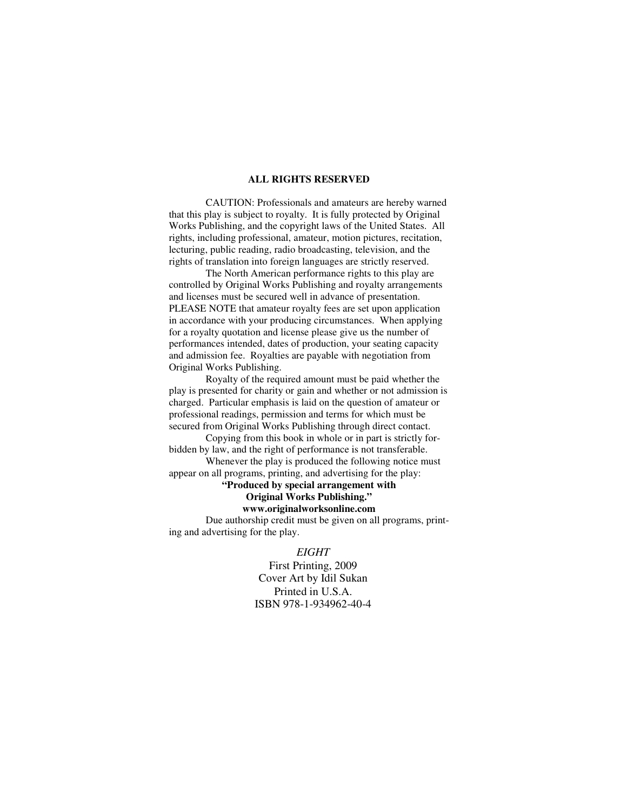#### **ALL RIGHTS RESERVED**

 CAUTION: Professionals and amateurs are hereby warned that this play is subject to royalty. It is fully protected by Original Works Publishing, and the copyright laws of the United States. All rights, including professional, amateur, motion pictures, recitation, lecturing, public reading, radio broadcasting, television, and the rights of translation into foreign languages are strictly reserved.

 The North American performance rights to this play are controlled by Original Works Publishing and royalty arrangements and licenses must be secured well in advance of presentation. PLEASE NOTE that amateur royalty fees are set upon application in accordance with your producing circumstances. When applying for a royalty quotation and license please give us the number of performances intended, dates of production, your seating capacity and admission fee. Royalties are payable with negotiation from Original Works Publishing.

 Royalty of the required amount must be paid whether the play is presented for charity or gain and whether or not admission is charged. Particular emphasis is laid on the question of amateur or professional readings, permission and terms for which must be secured from Original Works Publishing through direct contact.

 Copying from this book in whole or in part is strictly forbidden by law, and the right of performance is not transferable.

 Whenever the play is produced the following notice must appear on all programs, printing, and advertising for the play:

## **"Produced by special arrangement with Original Works Publishing."**

#### **www.originalworksonline.com**

 Due authorship credit must be given on all programs, printing and advertising for the play.

#### *EIGHT*

First Printing, 2009 Cover Art by Idil Sukan Printed in U.S.A. ISBN 978-1-934962-40-4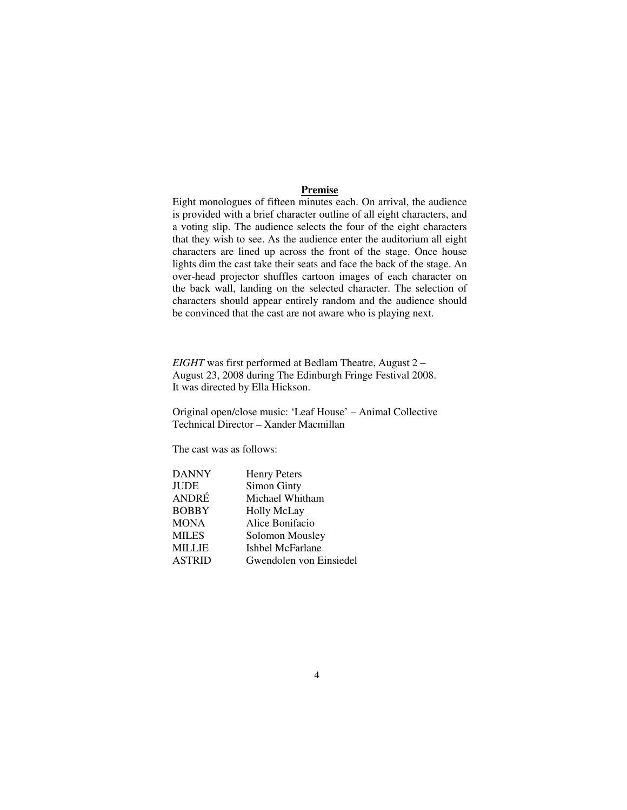#### **Premise**

Eight monologues of fifteen minutes each. On arrival, the audience is provided with a brief character outline of all eight characters, and a voting slip. The audience selects the four of the eight characters that they wish to see. As the audience enter the auditorium all eight characters are lined up across the front of the stage. Once house lights dim the cast take their seats and face the back of the stage. An over-head projector shuffles cartoon images of each character on the back wall, landing on the selected character. The selection of characters should appear entirely random and the audience should be convinced that the cast are not aware who is playing next.

*EIGHT* was first performed at Bedlam Theatre, August 2 – August 23, 2008 during The Edinburgh Fringe Festival 2008. It was directed by Ella Hickson.

Original open/close music: 'Leaf House' – Animal Collective Technical Director – Xander Macmillan

The cast was as follows:

| <b>DANNY</b>  | <b>Henry Peters</b>     |
|---------------|-------------------------|
| <b>JUDE</b>   | <b>Simon Ginty</b>      |
| ANDRÉ         | Michael Whitham         |
| <b>BOBBY</b>  | <b>Holly McLay</b>      |
| <b>MONA</b>   | Alice Bonifacio         |
| <b>MILES</b>  | Solomon Mousley         |
| <b>MILLIE</b> | Ishbel McFarlane        |
| <b>ASTRID</b> | Gwendolen von Einsiedel |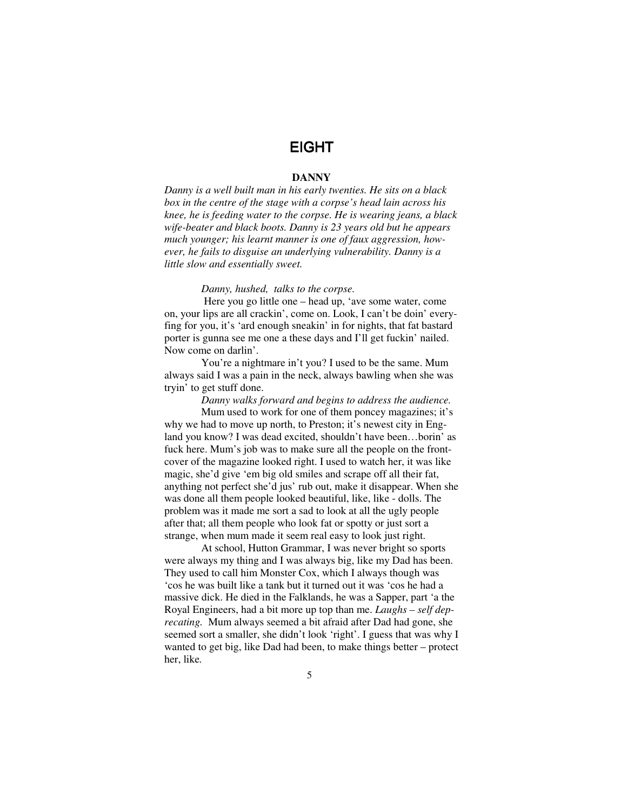# EIGHT

#### **DANNY**

*Danny is a well built man in his early twenties. He sits on a black box in the centre of the stage with a corpse's head lain across his knee, he is feeding water to the corpse. He is wearing jeans, a black wife-beater and black boots. Danny is 23 years old but he appears much younger; his learnt manner is one of faux aggression, however, he fails to disguise an underlying vulnerability. Danny is a little slow and essentially sweet.* 

#### *Danny, hushed, talks to the corpse.*

 Here you go little one – head up, 'ave some water, come on, your lips are all crackin', come on. Look, I can't be doin' everyfing for you, it's 'ard enough sneakin' in for nights, that fat bastard porter is gunna see me one a these days and I'll get fuckin' nailed. Now come on darlin'.

You're a nightmare in't you? I used to be the same. Mum always said I was a pain in the neck, always bawling when she was tryin' to get stuff done.

*Danny walks forward and begins to address the audience.*  Mum used to work for one of them poncey magazines; it's why we had to move up north, to Preston; it's newest city in England you know? I was dead excited, shouldn't have been…borin' as fuck here. Mum's job was to make sure all the people on the frontcover of the magazine looked right. I used to watch her, it was like magic, she'd give 'em big old smiles and scrape off all their fat, anything not perfect she'd jus' rub out, make it disappear. When she was done all them people looked beautiful, like, like - dolls. The problem was it made me sort a sad to look at all the ugly people after that; all them people who look fat or spotty or just sort a strange, when mum made it seem real easy to look just right.

At school, Hutton Grammar, I was never bright so sports were always my thing and I was always big, like my Dad has been. They used to call him Monster Cox, which I always though was 'cos he was built like a tank but it turned out it was 'cos he had a massive dick. He died in the Falklands, he was a Sapper, part 'a the Royal Engineers, had a bit more up top than me. *Laughs – self deprecating.* Mum always seemed a bit afraid after Dad had gone, she seemed sort a smaller, she didn't look 'right'. I guess that was why I wanted to get big, like Dad had been, to make things better – protect her, like*.*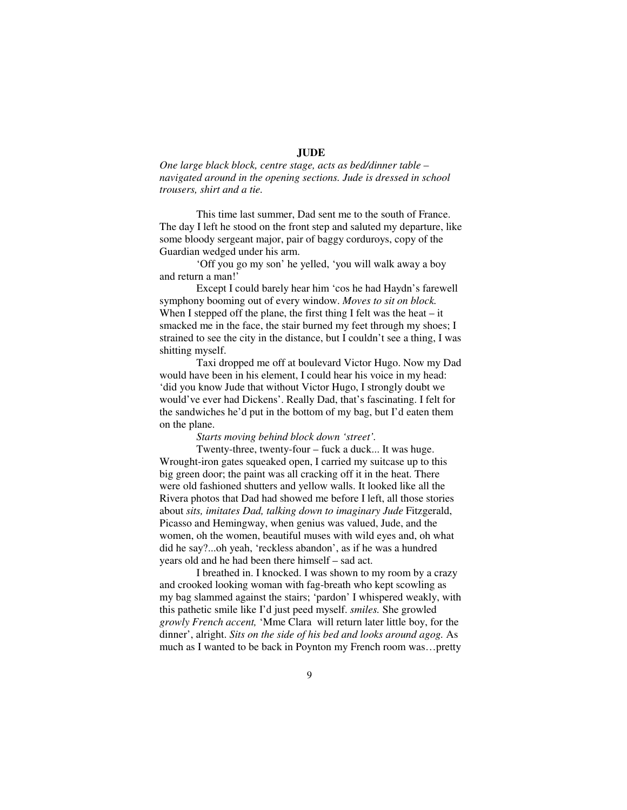## **JUDE**

*One large black block, centre stage, acts as bed/dinner table – navigated around in the opening sections. Jude is dressed in school trousers, shirt and a tie.* 

This time last summer, Dad sent me to the south of France. The day I left he stood on the front step and saluted my departure, like some bloody sergeant major, pair of baggy corduroys, copy of the Guardian wedged under his arm.

'Off you go my son' he yelled, 'you will walk away a boy and return a man!'

Except I could barely hear him 'cos he had Haydn's farewell symphony booming out of every window. *Moves to sit on block.*  When I stepped off the plane, the first thing I felt was the heat  $-$  it smacked me in the face, the stair burned my feet through my shoes; I strained to see the city in the distance, but I couldn't see a thing, I was shitting myself.

Taxi dropped me off at boulevard Victor Hugo. Now my Dad would have been in his element, I could hear his voice in my head: 'did you know Jude that without Victor Hugo, I strongly doubt we would've ever had Dickens'. Really Dad, that's fascinating. I felt for the sandwiches he'd put in the bottom of my bag, but I'd eaten them on the plane.

*Starts moving behind block down 'street'.* 

Twenty-three, twenty-four – fuck a duck... It was huge. Wrought-iron gates squeaked open, I carried my suitcase up to this big green door; the paint was all cracking off it in the heat. There were old fashioned shutters and yellow walls. It looked like all the Rivera photos that Dad had showed me before I left, all those stories about *sits, imitates Dad, talking down to imaginary Jude* Fitzgerald, Picasso and Hemingway, when genius was valued, Jude, and the women, oh the women, beautiful muses with wild eyes and, oh what did he say?...oh yeah, 'reckless abandon', as if he was a hundred years old and he had been there himself – sad act.

I breathed in. I knocked. I was shown to my room by a crazy and crooked looking woman with fag-breath who kept scowling as my bag slammed against the stairs; 'pardon' I whispered weakly, with this pathetic smile like I'd just peed myself. *smiles.* She growled *growly French accent,* 'Mme Clara will return later little boy, for the dinner', alright. *Sits on the side of his bed and looks around agog.* As much as I wanted to be back in Poynton my French room was…pretty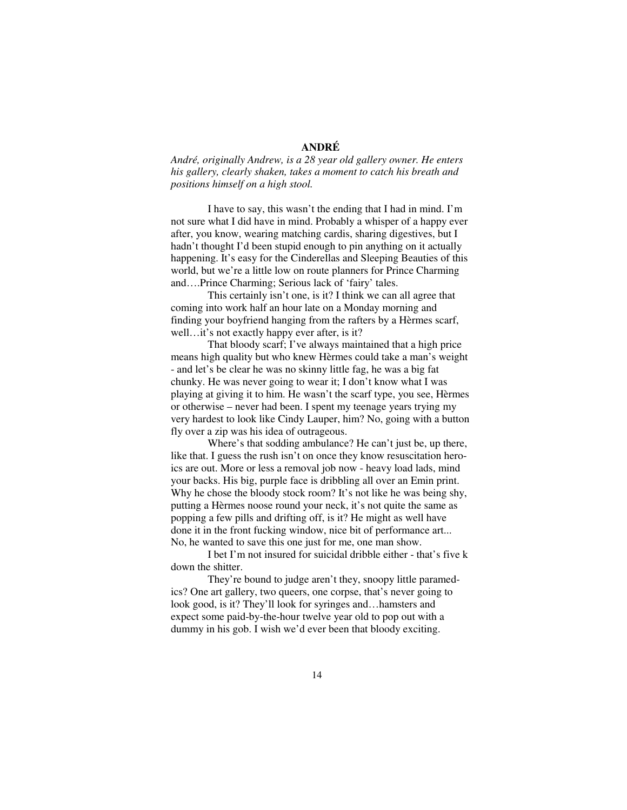## **ANDRÉ**

*André, originally Andrew, is a 28 year old gallery owner. He enters his gallery, clearly shaken, takes a moment to catch his breath and positions himself on a high stool.* 

I have to say, this wasn't the ending that I had in mind. I'm not sure what I did have in mind. Probably a whisper of a happy ever after, you know, wearing matching cardis, sharing digestives, but I hadn't thought I'd been stupid enough to pin anything on it actually happening. It's easy for the Cinderellas and Sleeping Beauties of this world, but we're a little low on route planners for Prince Charming and….Prince Charming; Serious lack of 'fairy' tales.

 This certainly isn't one, is it? I think we can all agree that coming into work half an hour late on a Monday morning and finding your boyfriend hanging from the rafters by a Hèrmes scarf, well…it's not exactly happy ever after, is it?

 That bloody scarf; I've always maintained that a high price means high quality but who knew Hèrmes could take a man's weight - and let's be clear he was no skinny little fag, he was a big fat chunky. He was never going to wear it; I don't know what I was playing at giving it to him. He wasn't the scarf type, you see, Hèrmes or otherwise – never had been. I spent my teenage years trying my very hardest to look like Cindy Lauper, him? No, going with a button fly over a zip was his idea of outrageous.

Where's that sodding ambulance? He can't just be, up there, like that. I guess the rush isn't on once they know resuscitation heroics are out. More or less a removal job now - heavy load lads, mind your backs. His big, purple face is dribbling all over an Emin print. Why he chose the bloody stock room? It's not like he was being shy, putting a Hèrmes noose round your neck, it's not quite the same as popping a few pills and drifting off, is it? He might as well have done it in the front fucking window, nice bit of performance art... No, he wanted to save this one just for me, one man show.

I bet I'm not insured for suicidal dribble either - that's five k down the shitter.

They're bound to judge aren't they, snoopy little paramedics? One art gallery, two queers, one corpse, that's never going to look good, is it? They'll look for syringes and…hamsters and expect some paid-by-the-hour twelve year old to pop out with a dummy in his gob. I wish we'd ever been that bloody exciting.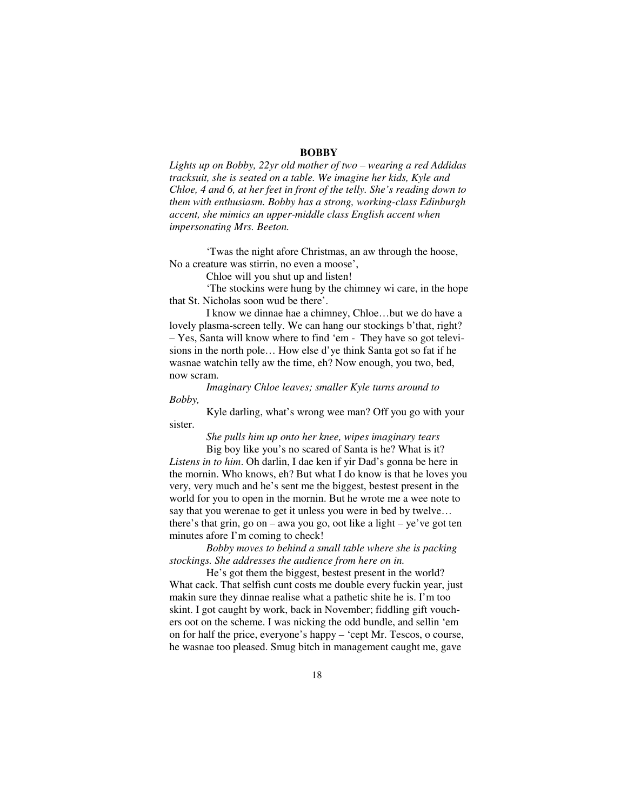#### **BOBBY**

*Lights up on Bobby, 22yr old mother of two – wearing a red Addidas tracksuit, she is seated on a table. We imagine her kids, Kyle and Chloe, 4 and 6, at her feet in front of the telly. She's reading down to them with enthusiasm. Bobby has a strong, working-class Edinburgh accent, she mimics an upper-middle class English accent when impersonating Mrs. Beeton.* 

'Twas the night afore Christmas, an aw through the hoose, No a creature was stirrin, no even a moose',

Chloe will you shut up and listen!

'The stockins were hung by the chimney wi care, in the hope that St. Nicholas soon wud be there'.

I know we dinnae hae a chimney, Chloe…but we do have a lovely plasma-screen telly. We can hang our stockings b'that, right? – Yes, Santa will know where to find 'em - They have so got televisions in the north pole… How else d'ye think Santa got so fat if he wasnae watchin telly aw the time, eh? Now enough, you two, bed, now scram.

*Imaginary Chloe leaves; smaller Kyle turns around to Bobby,*

Kyle darling, what's wrong wee man? Off you go with your sister.

> *She pulls him up onto her knee, wipes imaginary tears* Big boy like you's no scared of Santa is he? What is it?

*Listens in to him*. Oh darlin, I dae ken if yir Dad's gonna be here in the mornin. Who knows, eh? But what I do know is that he loves you very, very much and he's sent me the biggest, bestest present in the world for you to open in the mornin. But he wrote me a wee note to say that you werenae to get it unless you were in bed by twelve… there's that grin, go on – awa you go, oot like a light – ye've got ten minutes afore I'm coming to check!

*Bobby moves to behind a small table where she is packing stockings. She addresses the audience from here on in.* 

He's got them the biggest, bestest present in the world? What cack. That selfish cunt costs me double every fuckin year, just makin sure they dinnae realise what a pathetic shite he is. I'm too skint. I got caught by work, back in November; fiddling gift vouchers oot on the scheme. I was nicking the odd bundle, and sellin 'em on for half the price, everyone's happy – 'cept Mr. Tescos, o course, he wasnae too pleased. Smug bitch in management caught me, gave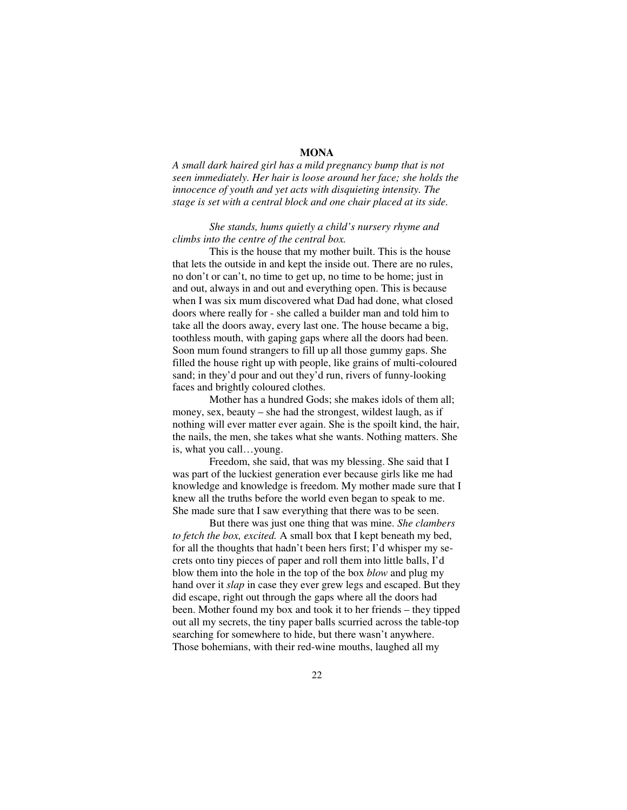## **MONA**

*A small dark haired girl has a mild pregnancy bump that is not seen immediately. Her hair is loose around her face; she holds the innocence of youth and yet acts with disquieting intensity. The stage is set with a central block and one chair placed at its side.* 

## *She stands, hums quietly a child's nursery rhyme and climbs into the centre of the central box.*

This is the house that my mother built. This is the house that lets the outside in and kept the inside out. There are no rules, no don't or can't, no time to get up, no time to be home; just in and out, always in and out and everything open. This is because when I was six mum discovered what Dad had done, what closed doors where really for - she called a builder man and told him to take all the doors away, every last one. The house became a big, toothless mouth, with gaping gaps where all the doors had been. Soon mum found strangers to fill up all those gummy gaps. She filled the house right up with people, like grains of multi-coloured sand; in they'd pour and out they'd run, rivers of funny-looking faces and brightly coloured clothes.

Mother has a hundred Gods; she makes idols of them all; money, sex, beauty – she had the strongest, wildest laugh, as if nothing will ever matter ever again. She is the spoilt kind, the hair, the nails, the men, she takes what she wants. Nothing matters. She is, what you call…young.

Freedom, she said, that was my blessing. She said that I was part of the luckiest generation ever because girls like me had knowledge and knowledge is freedom. My mother made sure that I knew all the truths before the world even began to speak to me. She made sure that I saw everything that there was to be seen.

But there was just one thing that was mine. *She clambers to fetch the box, excited.* A small box that I kept beneath my bed, for all the thoughts that hadn't been hers first; I'd whisper my secrets onto tiny pieces of paper and roll them into little balls, I'd blow them into the hole in the top of the box *blow* and plug my hand over it *slap* in case they ever grew legs and escaped. But they did escape, right out through the gaps where all the doors had been. Mother found my box and took it to her friends – they tipped out all my secrets, the tiny paper balls scurried across the table-top searching for somewhere to hide, but there wasn't anywhere. Those bohemians, with their red-wine mouths, laughed all my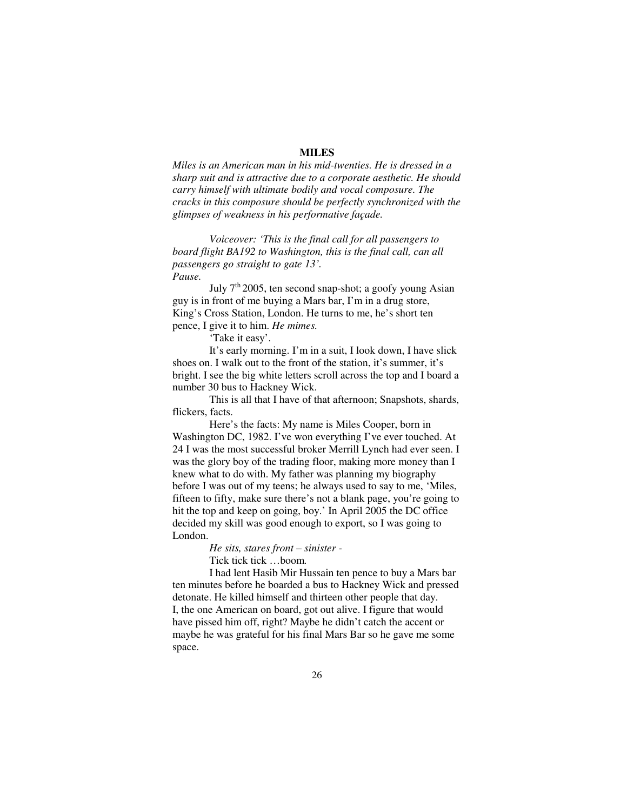#### **MILES**

*Miles is an American man in his mid-twenties. He is dressed in a sharp suit and is attractive due to a corporate aesthetic. He should carry himself with ultimate bodily and vocal composure. The cracks in this composure should be perfectly synchronized with the glimpses of weakness in his performative façade.* 

*Voiceover: 'This is the final call for all passengers to board flight BA192 to Washington, this is the final call, can all passengers go straight to gate 13'. Pause.* 

July  $7<sup>th</sup>$  2005, ten second snap-shot; a goofy young Asian guy is in front of me buying a Mars bar, I'm in a drug store, King's Cross Station, London. He turns to me, he's short ten pence, I give it to him. *He mimes.* 

'Take it easy'.

It's early morning. I'm in a suit, I look down, I have slick shoes on. I walk out to the front of the station, it's summer, it's bright. I see the big white letters scroll across the top and I board a number 30 bus to Hackney Wick.

This is all that I have of that afternoon; Snapshots, shards, flickers, facts.

Here's the facts: My name is Miles Cooper, born in Washington DC, 1982. I've won everything I've ever touched. At 24 I was the most successful broker Merrill Lynch had ever seen. I was the glory boy of the trading floor, making more money than I knew what to do with. My father was planning my biography before I was out of my teens; he always used to say to me, 'Miles, fifteen to fifty, make sure there's not a blank page, you're going to hit the top and keep on going, boy.' In April 2005 the DC office decided my skill was good enough to export, so I was going to London.

*He sits, stares front – sinister -*

Tick tick tick …boom*.* 

I had lent Hasib Mir Hussain ten pence to buy a Mars bar ten minutes before he boarded a bus to Hackney Wick and pressed detonate. He killed himself and thirteen other people that day. I, the one American on board, got out alive. I figure that would have pissed him off, right? Maybe he didn't catch the accent or maybe he was grateful for his final Mars Bar so he gave me some space.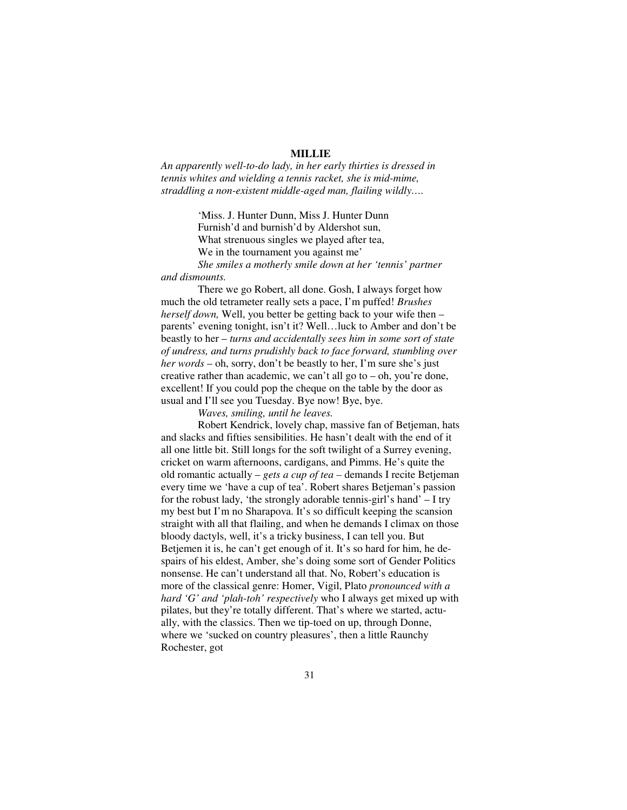#### **MILLIE**

*An apparently well-to-do lady, in her early thirties is dressed in tennis whites and wielding a tennis racket, she is mid-mime, straddling a non-existent middle-aged man, flailing wildly….* 

> 'Miss. J. Hunter Dunn, Miss J. Hunter Dunn Furnish'd and burnish'd by Aldershot sun, What strenuous singles we played after tea, We in the tournament you against me'

*She smiles a motherly smile down at her 'tennis' partner and dismounts.* 

 There we go Robert, all done. Gosh, I always forget how much the old tetrameter really sets a pace, I'm puffed! *Brushes herself down,* Well, you better be getting back to your wife then – parents' evening tonight, isn't it? Well…luck to Amber and don't be beastly to her – *turns and accidentally sees him in some sort of state of undress, and turns prudishly back to face forward, stumbling over her words* – oh, sorry, don't be beastly to her, I'm sure she's just creative rather than academic, we can't all go to  $-$  oh, you're done, excellent! If you could pop the cheque on the table by the door as usual and I'll see you Tuesday. Bye now! Bye, bye.

*Waves, smiling, until he leaves.* 

 Robert Kendrick, lovely chap, massive fan of Betjeman, hats and slacks and fifties sensibilities. He hasn't dealt with the end of it all one little bit. Still longs for the soft twilight of a Surrey evening, cricket on warm afternoons, cardigans, and Pimms. He's quite the old romantic actually – *gets a cup of tea –* demands I recite Betjeman every time we 'have a cup of tea'. Robert shares Betjeman's passion for the robust lady, 'the strongly adorable tennis-girl's hand' – I try my best but I'm no Sharapova. It's so difficult keeping the scansion straight with all that flailing, and when he demands I climax on those bloody dactyls, well, it's a tricky business, I can tell you. But Betjemen it is, he can't get enough of it. It's so hard for him, he despairs of his eldest, Amber, she's doing some sort of Gender Politics nonsense. He can't understand all that. No, Robert's education is more of the classical genre: Homer, Vigil, Plato *pronounced with a hard 'G' and 'plah-toh' respectively* who I always get mixed up with pilates, but they're totally different. That's where we started, actually, with the classics. Then we tip-toed on up, through Donne, where we 'sucked on country pleasures', then a little Raunchy Rochester, got